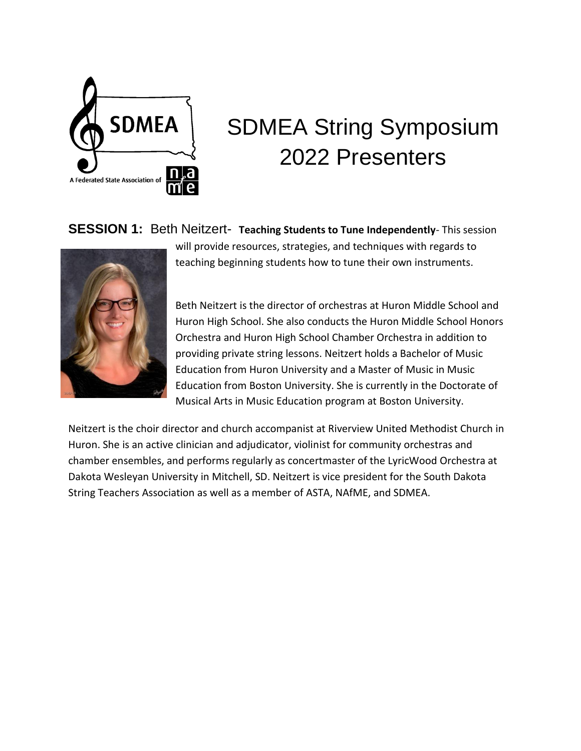

# SDMEA String Symposium 2022 Presenters

**SESSION 1:** Beth Neitzert- **Teaching Students to Tune Independently**- This session



will provide resources, strategies, and techniques with regards to teaching beginning students how to tune their own instruments.

Beth Neitzert is the director of orchestras at Huron Middle School and Huron High School. She also conducts the Huron Middle School Honors Orchestra and Huron High School Chamber Orchestra in addition to providing private string lessons. Neitzert holds a Bachelor of Music Education from Huron University and a Master of Music in Music Education from Boston University. She is currently in the Doctorate of Musical Arts in Music Education program at Boston University.

Neitzert is the choir director and church accompanist at Riverview United Methodist Church in Huron. She is an active clinician and adjudicator, violinist for community orchestras and chamber ensembles, and performs regularly as concertmaster of the LyricWood Orchestra at Dakota Wesleyan University in Mitchell, SD. Neitzert is vice president for the South Dakota String Teachers Association as well as a member of ASTA, NAfME, and SDMEA.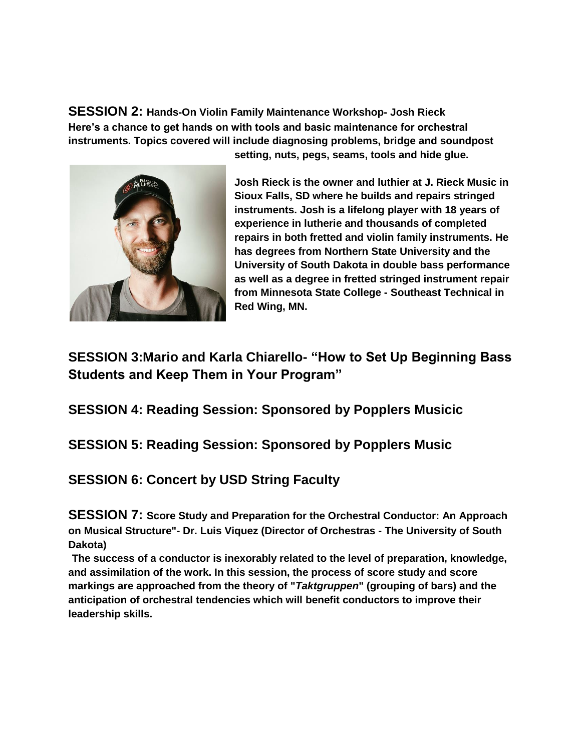**SESSION 2: Hands-On Violin Family Maintenance Workshop- Josh Rieck Here's a chance to get hands on with tools and basic maintenance for orchestral instruments. Topics covered will include diagnosing problems, bridge and soundpost** 



**setting, nuts, pegs, seams, tools and hide glue.**

**Josh Rieck is the owner and luthier at J. Rieck Music in Sioux Falls, SD where he builds and repairs stringed instruments. Josh is a lifelong player with 18 years of experience in lutherie and thousands of completed repairs in both fretted and violin family instruments. He has degrees from Northern State University and the University of South Dakota in double bass performance as well as a degree in fretted stringed instrument repair from Minnesota State College - Southeast Technical in Red Wing, MN.**

## **SESSION 3:Mario and Karla Chiarello- "How to Set Up Beginning Bass Students and Keep Them in Your Program"**

**SESSION 4: Reading Session: Sponsored by Popplers Musicic**

### **SESSION 5: Reading Session: Sponsored by Popplers Music**

## **SESSION 6: Concert by USD String Faculty**

**SESSION 7: Score Study and Preparation for the Orchestral Conductor: An Approach on Musical Structure"- Dr. Luis Viquez (Director of Orchestras - The University of South Dakota)**

**The success of a conductor is inexorably related to the level of preparation, knowledge, and assimilation of the work. In this session, the process of score study and score markings are approached from the theory of "***Taktgruppen***" (grouping of bars) and the anticipation of orchestral tendencies which will benefit conductors to improve their leadership skills.**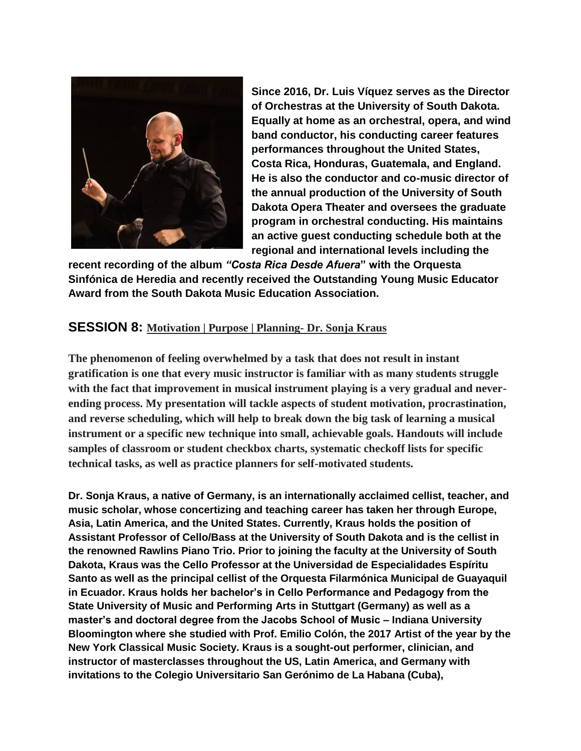

**Since 2016, Dr. Luis Víquez serves as the Director of Orchestras at the University of South Dakota. Equally at home as an orchestral, opera, and wind band conductor, his conducting career features performances throughout the United States, Costa Rica, Honduras, Guatemala, and England. He is also the conductor and co-music director of the annual production of the University of South Dakota Opera Theater and oversees the graduate program in orchestral conducting. His maintains an active guest conducting schedule both at the regional and international levels including the** 

**recent recording of the album** *"Costa Rica Desde Afuera***" with the Orquesta Sinfónica de Heredia and recently received the Outstanding Young Music Educator Award from the South Dakota Music Education Association.**

#### **SESSION 8: Motivation | Purpose | Planning- Dr. Sonja Kraus**

**The phenomenon of feeling overwhelmed by a task that does not result in instant gratification is one that every music instructor is familiar with as many students struggle with the fact that improvement in musical instrument playing is a very gradual and neverending process. My presentation will tackle aspects of student motivation, procrastination, and reverse scheduling, which will help to break down the big task of learning a musical instrument or a specific new technique into small, achievable goals. Handouts will include samples of classroom or student checkbox charts, systematic checkoff lists for specific technical tasks, as well as practice planners for self-motivated students.**

**Dr. Sonja Kraus, a native of Germany, is an internationally acclaimed cellist, teacher, and music scholar, whose concertizing and teaching career has taken her through Europe, Asia, Latin America, and the United States. Currently, Kraus holds the position of Assistant Professor of Cello/Bass at the University of South Dakota and is the cellist in the renowned Rawlins Piano Trio. Prior to joining the faculty at the University of South Dakota, Kraus was the Cello Professor at the Universidad de Especialidades Espíritu Santo as well as the principal cellist of the Orquesta Filarmónica Municipal de Guayaquil in Ecuador. Kraus holds her bachelor's in Cello Performance and Pedagogy from the State University of Music and Performing Arts in Stuttgart (Germany) as well as a master's and doctoral degree from the Jacobs School of Music – Indiana University Bloomington where she studied with Prof. Emilio Colón, the 2017 Artist of the year by the New York Classical Music Society. Kraus is a sought-out performer, clinician, and instructor of masterclasses throughout the US, Latin America, and Germany with invitations to the Colegio Universitario San Gerónimo de La Habana (Cuba),**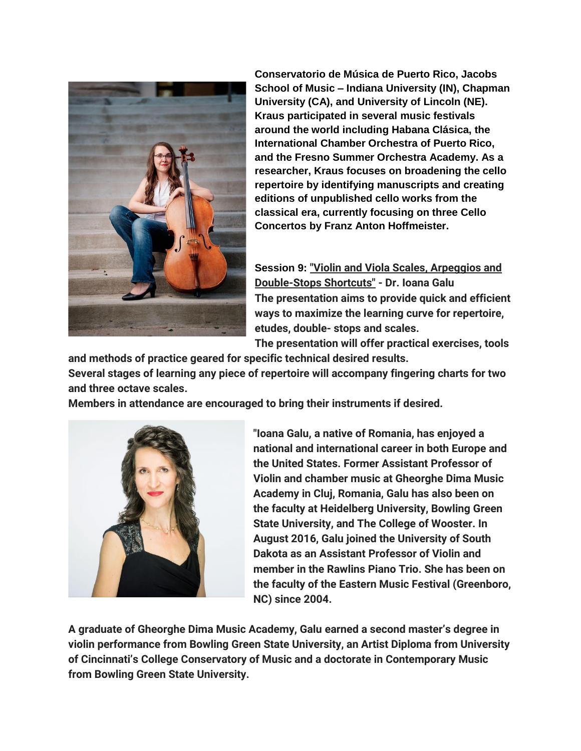

**Conservatorio de Música de Puerto Rico, Jacobs School of Music – Indiana University (IN), Chapman University (CA), and University of Lincoln (NE). Kraus participated in several music festivals around the world including Habana Clásica, the International Chamber Orchestra of Puerto Rico, and the Fresno Summer Orchestra Academy. As a researcher, Kraus focuses on broadening the cello repertoire by identifying manuscripts and creating editions of unpublished cello works from the classical era, currently focusing on three Cello Concertos by Franz Anton Hoffmeister.**

**Session 9: "Violin and Viola Scales, Arpeggios and Double-Stops Shortcuts" - Dr. Ioana Galu The presentation aims to provide quick and efficient ways to maximize the learning curve for repertoire, etudes, double- stops and scales.**

**The presentation will offer practical exercises, tools and methods of practice geared for specific technical desired results.**

**Several stages of learning any piece of repertoire will accompany fingering charts for two and three octave scales.**

**Members in attendance are encouraged to bring their instruments if desired.**



**"Ioana Galu, a native of Romania, has enjoyed a national and international career in both Europe and the United States. Former Assistant Professor of Violin and chamber music at Gheorghe Dima Music Academy in Cluj, Romania, Galu has also been on the faculty at Heidelberg University, Bowling Green State University, and The College of Wooster. In August 2016, Galu joined the University of South Dakota as an Assistant Professor of Violin and member in the Rawlins Piano Trio. She has been on the faculty of the Eastern Music Festival (Greenboro, NC) since 2004.**

**A graduate of Gheorghe Dima Music Academy, Galu earned a second master's degree in violin performance from Bowling Green State University, an Artist Diploma from University of Cincinnati's College Conservatory of Music and a doctorate in Contemporary Music from Bowling Green State University.**